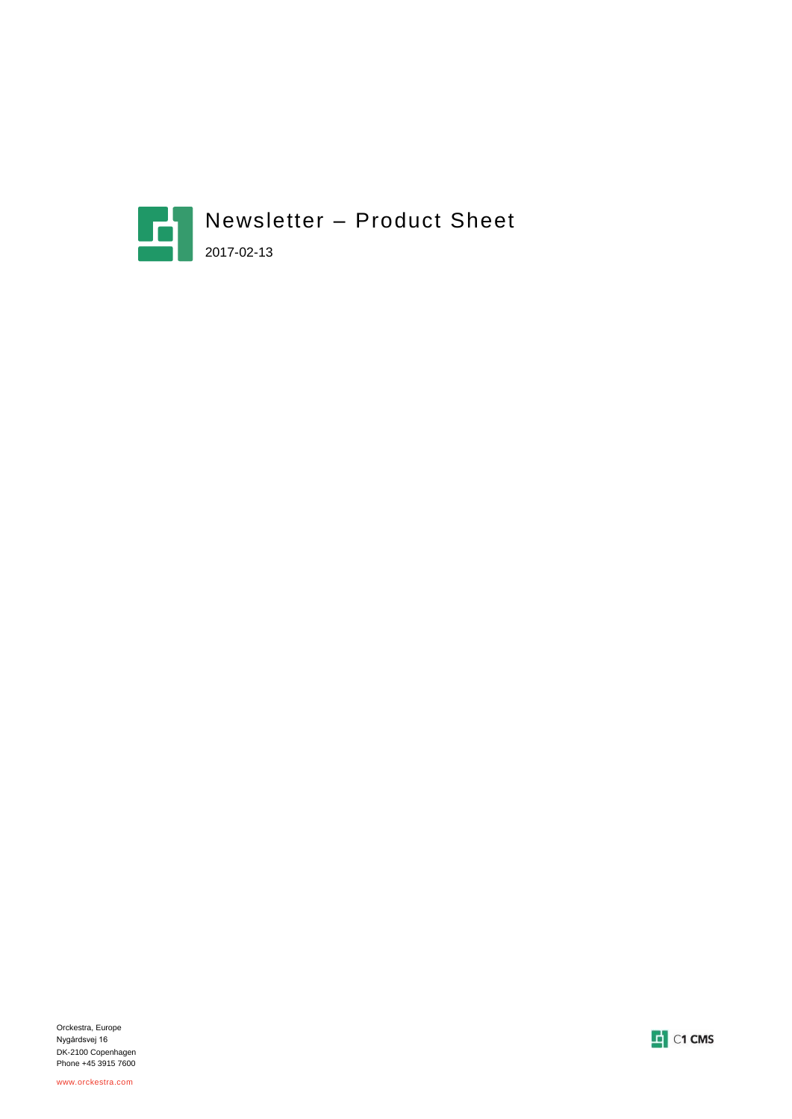



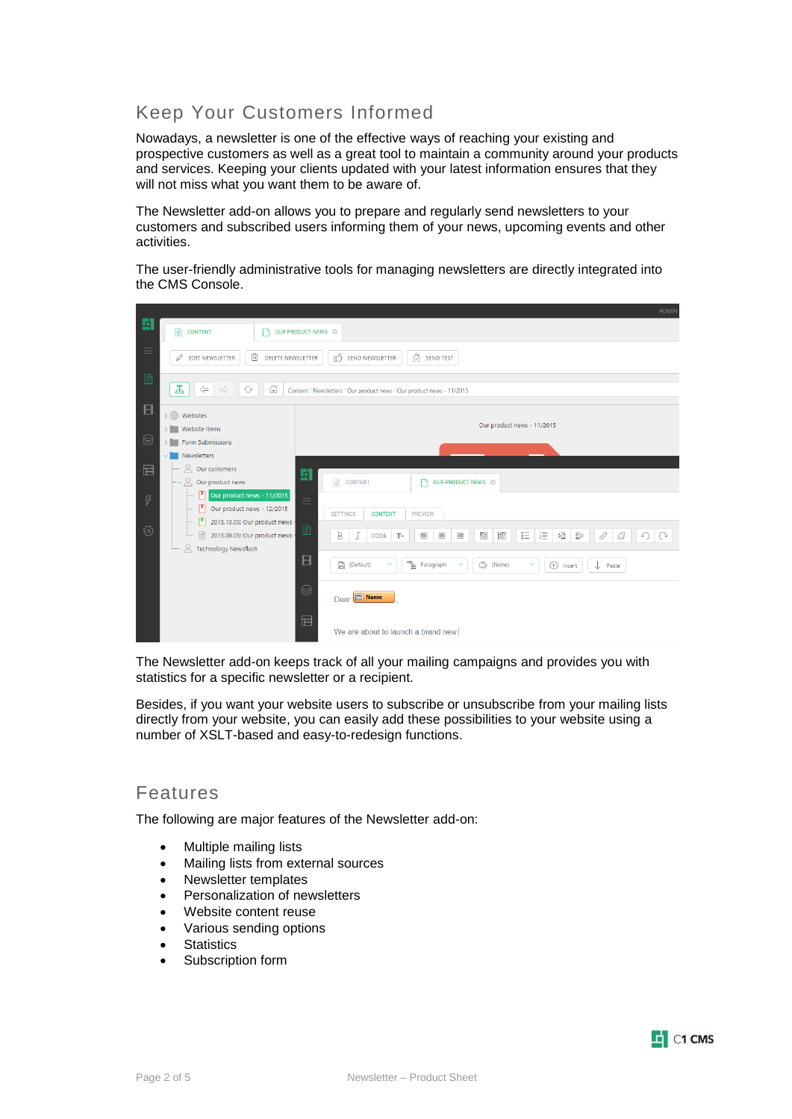# Keep Your Customers Informed

Nowadays, a newsletter is one of the effective ways of reaching your existing and prospective customers as well as a great tool to maintain a community around your products and services. Keeping your clients updated with your latest information ensures that they will not miss what you want them to be aware of.

The Newsletter add-on allows you to prepare and regularly send newsletters to your customers and subscribed users informing them of your news, upcoming events and other activities.

The user-friendly administrative tools for managing newsletters are directly integrated into the CMS Console.

|                      |                                                                                                                            | ADMIN                                                                                                                                                                                      |  |  |  |  |
|----------------------|----------------------------------------------------------------------------------------------------------------------------|--------------------------------------------------------------------------------------------------------------------------------------------------------------------------------------------|--|--|--|--|
| 圖                    | 昏<br><b>CONTENT</b>                                                                                                        | OUR PRODUCT NEWS <sup>®</sup>                                                                                                                                                              |  |  |  |  |
| $\equiv$             | 喕<br><b>EDIT NEWSLETTER</b><br>O<br><b>DELETE NEWSLETTER</b>                                                               | Ů<br>n <sup>3</sup><br><b>SEND NEWSLETTER</b><br><b>SEND TEST</b>                                                                                                                          |  |  |  |  |
| $\mathbf{r}$         | 롧<br>$\Leftrightarrow$<br>$\Rightarrow$<br>습<br>⊙<br>Content / Newsletters / Our product news / Our product news - 11/2015 |                                                                                                                                                                                            |  |  |  |  |
| $\Box$               | $\rightarrow$ ( $\oplus$ ) Websites                                                                                        | Our product news - 11/2015                                                                                                                                                                 |  |  |  |  |
| 8                    | > Website Items                                                                                                            |                                                                                                                                                                                            |  |  |  |  |
|                      | > Form Submissions                                                                                                         |                                                                                                                                                                                            |  |  |  |  |
|                      | Newsletters                                                                                                                |                                                                                                                                                                                            |  |  |  |  |
| 屇                    | $\alpha$<br>Our customers                                                                                                  | 固                                                                                                                                                                                          |  |  |  |  |
|                      | $\vdash\mathsf{\sim}\mathsf{\mathsf{Q}}$ Our product news                                                                  | $\mathbb{E}$<br><b>CONTENT</b><br>OUR PRODUCT NEWS ©                                                                                                                                       |  |  |  |  |
| $\boldsymbol{\beta}$ | Our product news - 11/2015                                                                                                 | $\equiv$                                                                                                                                                                                   |  |  |  |  |
|                      | Our product news - 12/2015                                                                                                 | <b>SETTINGS</b><br><b>CONTENT</b><br><b>PREVIEW</b>                                                                                                                                        |  |  |  |  |
|                      | 2015.10.05: Our product news -                                                                                             | B                                                                                                                                                                                          |  |  |  |  |
| छु                   | R<br>2015.09.05: Our product news -<br>R Technology Newsflash                                                              | $\mathop{\stackrel{\scriptscriptstyle{0}}{=}}$<br>這<br>恒<br>$\,$ B<br>$\cal I$<br>먣<br>≝<br>$\bar{\mathbb{F}}$<br>恣<br>三<br>$\equiv$<br>亖<br>0<br>$\mathcal{T}^-$<br>↶<br>$\Omega$<br>CODE |  |  |  |  |
|                      |                                                                                                                            | $\Box$<br>٦è<br>$\Box$ (Default)<br>(C) (None)<br>$\oplus$<br>Paragraph<br>$\checkmark$<br>$\checkmark$<br>$\checkmark$<br>↓<br>Paste<br>Insert                                            |  |  |  |  |
|                      |                                                                                                                            | e<br>Dear B Name                                                                                                                                                                           |  |  |  |  |
|                      |                                                                                                                            | $\boxplus$<br>We are about to launch a brand new                                                                                                                                           |  |  |  |  |

The Newsletter add-on keeps track of all your mailing campaigns and provides you with statistics for a specific newsletter or a recipient.

Besides, if you want your website users to subscribe or unsubscribe from your mailing lists directly from your website, you can easily add these possibilities to your website using a number of XSLT-based and easy-to-redesign functions.

#### Features

The following are major features of the Newsletter add-on:

- Multiple mailing lists
- Mailing lists from external sources
- Newsletter templates
- Personalization of newsletters
- Website content reuse
- Various sending options
- **Statistics**
- Subscription form

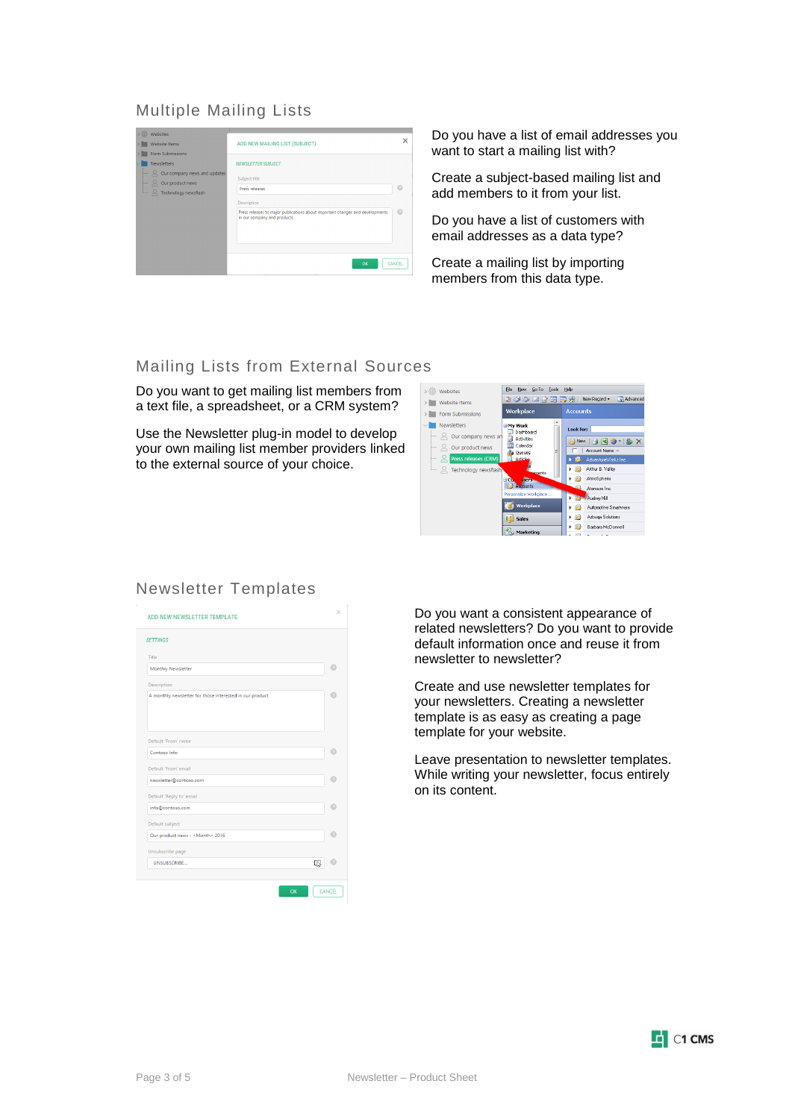### Multiple Mailing Lists

| > (iii) Websites                                                    |                                                                                                              | ×      |
|---------------------------------------------------------------------|--------------------------------------------------------------------------------------------------------------|--------|
| <b>Website Items</b>                                                | ADD NEW MAILING LIST (SUBJECT)                                                                               |        |
| Form Submissions                                                    |                                                                                                              |        |
| <b>Newsletters</b>                                                  | <b>NEWSLETTER SUBJECT</b>                                                                                    |        |
| $ \alpha$ Our company news and updates<br>$\alpha$ Our product news | Subject title                                                                                                |        |
| R Technology newsflash                                              | Press releases                                                                                               | Θ      |
|                                                                     | Description                                                                                                  |        |
|                                                                     | Press releases to major publications about important changes and developments<br>in our company and products | œ      |
|                                                                     | OK                                                                                                           | CANCEL |

Do you have a list of email addresses you want to start a mailing list with?

Create a subject-based mailing list and add members to it from your list.

Do you have a list of customers with email addresses as a data type?

Create a mailing list by importing members from this data type.

#### Mailing Lists from External Sources

Do you want to get mailing list members from a text file, a spreadsheet, or a CRM system?

Use the Newsletter plug-in model to develop your own mailing list member providers linked to the external source of your choice.



### Newsletter Templates

| ADD NEW NEWSLETTER TEMPLATE                              | ×             |
|----------------------------------------------------------|---------------|
| <b>SETTINGS</b>                                          |               |
| Title                                                    |               |
| Monthly Newsletter                                       | 7             |
| Description                                              |               |
| A monthly newsletter for those interested in our product |               |
| Default 'From' name                                      |               |
| Contoso Info                                             | ø             |
| Default 'From' email                                     |               |
| newsletter@contoso.com                                   |               |
| Default 'Reply to' email                                 |               |
| info@contoso.com                                         |               |
| Default subject                                          |               |
| Our product news - < Month> 2016                         | 7             |
| Unsubscribe page                                         |               |
| UNSUBSCRIBE<br>呕                                         |               |
| OK                                                       | <b>CANCEL</b> |

Do you want a consistent appearance of related newsletters? Do you want to provide default information once and reuse it from newsletter to newsletter?

Create and use newsletter templates for your newsletters. Creating a newsletter template is as easy as creating a page template for your website.

Leave presentation to newsletter templates. While writing your newsletter, focus entirely on its content.

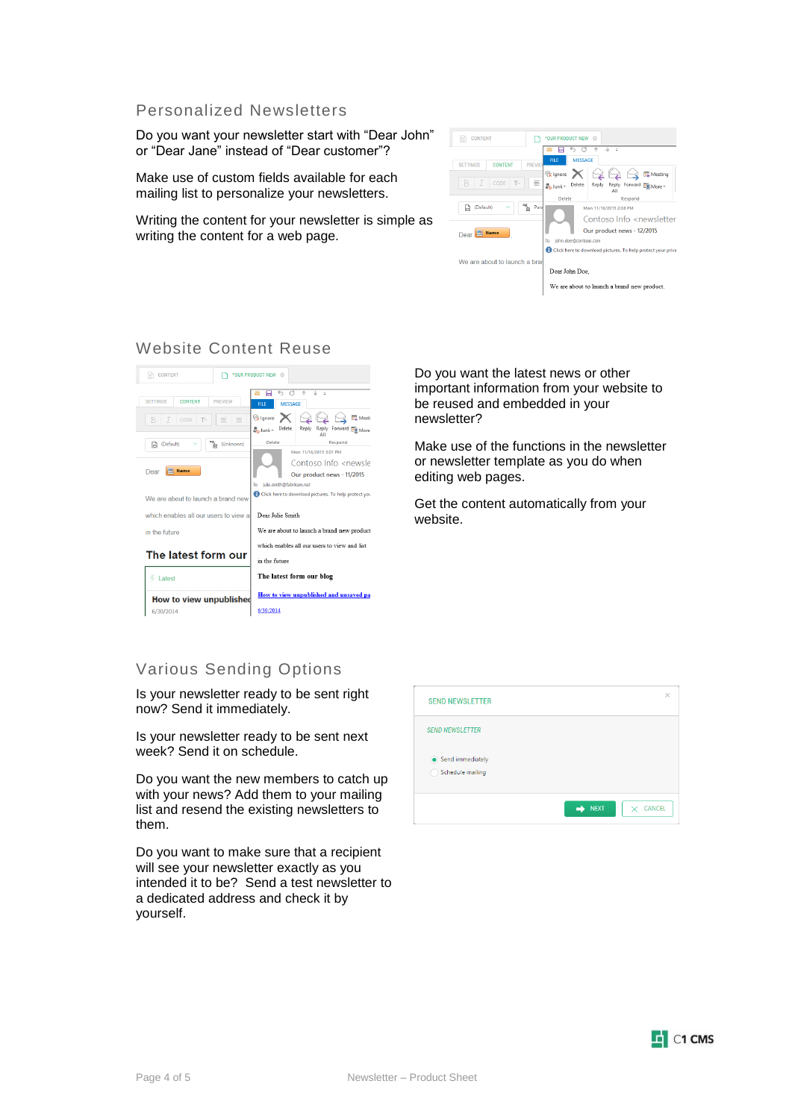#### Personalized Newsletters

Do you want your newsletter start with "Dear John" or "Dear Jane" instead of "Dear customer"?

Make use of custom fields available for each mailing list to personalize your newsletters.

Writing the content for your newsletter is simple as writing the content for a web page.



### Website Content Reuse



Do you want the latest news or other important information from your website to be reused and embedded in your newsletter?

Make use of the functions in the newsletter or newsletter template as you do when editing web pages.

Get the content automatically from your website.

### Various Sending Options

Is your newsletter ready to be sent right now? Send it immediately.

Is your newsletter ready to be sent next week? Send it on schedule.

Do you want the new members to catch up with your news? Add them to your mailing list and resend the existing newsletters to them.

Do you want to make sure that a recipient will see your newsletter exactly as you intended it to be? Send a test newsletter to a dedicated address and check it by yourself.